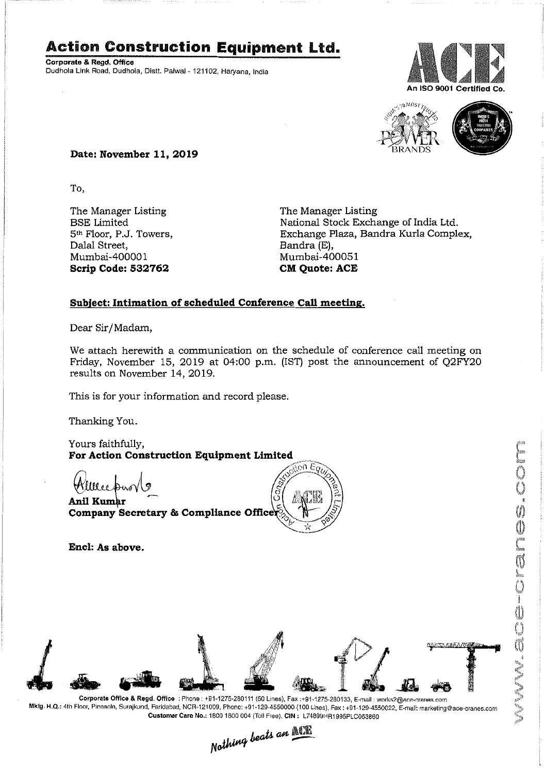## **Action Construction Equipment Ltd.**

Corporate & Regd. Office Dudhola Link Road, Dudhola, Distt. Palwal- 121102, Haryana, India





MW.ace-crane.com

### **Date: November 11,2019**

To,

The Manager Listing BSE Limited 5<sup>th</sup> Floor, P.J. Towers, Dalal Street, Mumbai-400001 **Scrip Code: 532762**

The Manager Listing National Stock Exchange of India Ltd. Exchange Plaza, Bandra Kurla Complex, Bandra (E), Mumbai-400051 **eM Quote: ACE**

#### **Subject: Intimation of scheduled Conference Call meeting.**

Dear Sir/Madam,

We attach herewith a communication on the schedule of conference call meeting on Friday, November 15, 2019 at 04:00 p.m. (IST) post the announcement of Q2FY20 results on November 14, 2019.

This is for your information and record please.

Thanking You.

Yours faithfully, For Action Construction Equipment Limited

Kllleepiw

**Anil Kumar** Company Secretary & Compliance Officer



**Encl: As above.**



Corporate Office & Regd, Office: Phone: +91-1275-280111 (50 Lines), Fax:+91-1275-280133, E-mail: works2@ece-cranes.com Mktg. H.Q.: 4th Floor, Pinnacle, Surajkund, Faridabad, NCR-121009, Phone: +91-129-4550000 (100 Lines), Fax: +91-129-4550022, E-mall: marketing@ace-cranes.com

Customer Care No.: 1800 1800 004 (Toll Free), CIN: L74899HR1995PLC053860<br>Nathing beats an **Allie**